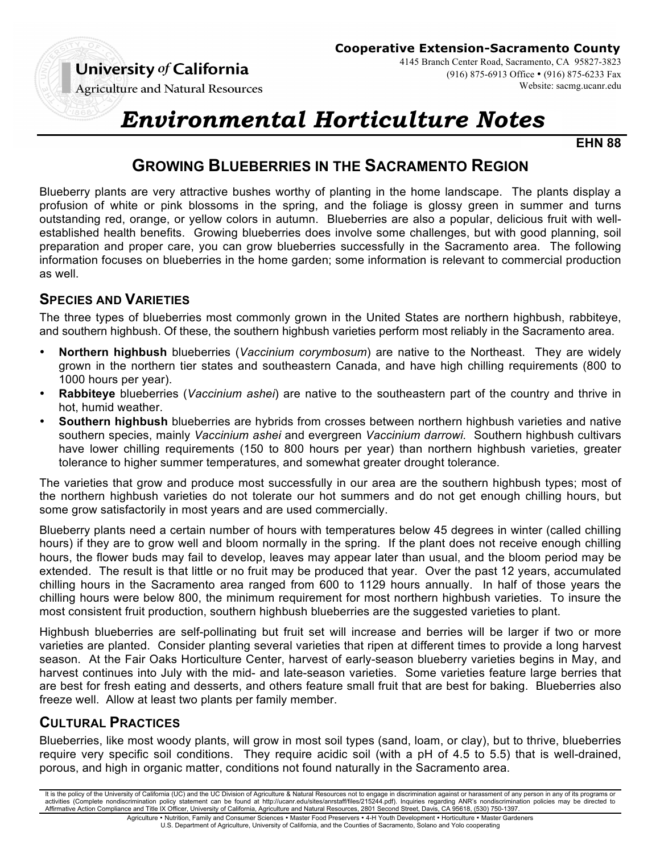

4145 Branch Center Road, Sacramento, CA 95827-3823 (916) 875-6913 Office • (916) 875-6233 Fax Website: sacmg.ucanr.edu

**Agriculture and Natural Resources** 

# *Environmental Horticulture Notes*

**EHN 88**

# **GROWING BLUEBERRIES IN THE SACRAMENTO REGION**

Blueberry plants are very attractive bushes worthy of planting in the home landscape. The plants display a profusion of white or pink blossoms in the spring, and the foliage is glossy green in summer and turns outstanding red, orange, or yellow colors in autumn. Blueberries are also a popular, delicious fruit with wellestablished health benefits. Growing blueberries does involve some challenges, but with good planning, soil preparation and proper care, you can grow blueberries successfully in the Sacramento area. The following information focuses on blueberries in the home garden; some information is relevant to commercial production as well.

## **SPECIES AND VARIETIES**

The three types of blueberries most commonly grown in the United States are northern highbush, rabbiteye, and southern highbush. Of these, the southern highbush varieties perform most reliably in the Sacramento area.

- **Northern highbush** blueberries (*Vaccinium corymbosum*) are native to the Northeast. They are widely grown in the northern tier states and southeastern Canada, and have high chilling requirements (800 to 1000 hours per year).
- **Rabbiteye** blueberries (*Vaccinium ashei*) are native to the southeastern part of the country and thrive in hot, humid weather.
- **Southern highbush** blueberries are hybrids from crosses between northern highbush varieties and native southern species, mainly *Vaccinium ashei* and evergreen *Vaccinium darrowi.* Southern highbush cultivars have lower chilling requirements (150 to 800 hours per year) than northern highbush varieties, greater tolerance to higher summer temperatures, and somewhat greater drought tolerance.

The varieties that grow and produce most successfully in our area are the southern highbush types; most of the northern highbush varieties do not tolerate our hot summers and do not get enough chilling hours, but some grow satisfactorily in most years and are used commercially.

Blueberry plants need a certain number of hours with temperatures below 45 degrees in winter (called chilling hours) if they are to grow well and bloom normally in the spring. If the plant does not receive enough chilling hours, the flower buds may fail to develop, leaves may appear later than usual, and the bloom period may be extended. The result is that little or no fruit may be produced that year. Over the past 12 years, accumulated chilling hours in the Sacramento area ranged from 600 to 1129 hours annually. In half of those years the chilling hours were below 800, the minimum requirement for most northern highbush varieties. To insure the most consistent fruit production, southern highbush blueberries are the suggested varieties to plant.

Highbush blueberries are self-pollinating but fruit set will increase and berries will be larger if two or more varieties are planted. Consider planting several varieties that ripen at different times to provide a long harvest season. At the Fair Oaks Horticulture Center, harvest of early-season blueberry varieties begins in May, and harvest continues into July with the mid- and late-season varieties. Some varieties feature large berries that are best for fresh eating and desserts, and others feature small fruit that are best for baking. Blueberries also freeze well. Allow at least two plants per family member.

# **CULTURAL PRACTICES**

Blueberries, like most woody plants, will grow in most soil types (sand, loam, or clay), but to thrive, blueberries require very specific soil conditions. They require acidic soil (with a pH of 4.5 to 5.5) that is well-drained, porous, and high in organic matter, conditions not found naturally in the Sacramento area.

It is the policy of the University of California (UC) and the UC Division of Agriculture & Natural Resources not to engage in discrimination against or harassment of any person in any of its programs or activities (Complete nondiscrimination policy statement can be found at http://ucanr.edu/sites/anrstaff/files/215244.pdf). Inquiries regarding ANR's nondiscrimination policies may be directed to<br>Affirmative Action Complian

Agriculture • Nutrition, Family and Consumer Sciences • Master Food Preservers • 4-H Youth Development • Horticulture • Master Gardeners U.S. Department of Agriculture, University of California, and the Counties of Sacramento, Solano and Yolo cooperating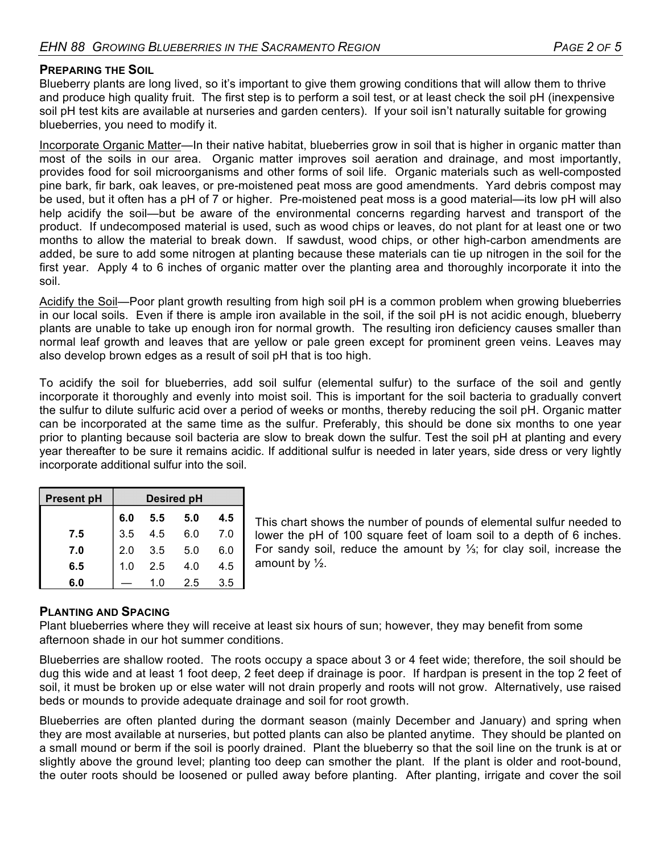#### **PREPARING THE SOIL**

Blueberry plants are long lived, so it's important to give them growing conditions that will allow them to thrive and produce high quality fruit. The first step is to perform a soil test, or at least check the soil pH (inexpensive soil pH test kits are available at nurseries and garden centers). If your soil isn't naturally suitable for growing blueberries, you need to modify it.

Incorporate Organic Matter—In their native habitat, blueberries grow in soil that is higher in organic matter than most of the soils in our area. Organic matter improves soil aeration and drainage, and most importantly, provides food for soil microorganisms and other forms of soil life. Organic materials such as well-composted pine bark, fir bark, oak leaves, or pre-moistened peat moss are good amendments. Yard debris compost may be used, but it often has a pH of 7 or higher. Pre-moistened peat moss is a good material—its low pH will also help acidify the soil—but be aware of the environmental concerns regarding harvest and transport of the product. If undecomposed material is used, such as wood chips or leaves, do not plant for at least one or two months to allow the material to break down. If sawdust, wood chips, or other high-carbon amendments are added, be sure to add some nitrogen at planting because these materials can tie up nitrogen in the soil for the first year. Apply 4 to 6 inches of organic matter over the planting area and thoroughly incorporate it into the soil.

Acidify the Soil—Poor plant growth resulting from high soil pH is a common problem when growing blueberries in our local soils. Even if there is ample iron available in the soil, if the soil pH is not acidic enough, blueberry plants are unable to take up enough iron for normal growth. The resulting iron deficiency causes smaller than normal leaf growth and leaves that are yellow or pale green except for prominent green veins. Leaves may also develop brown edges as a result of soil pH that is too high.

To acidify the soil for blueberries, add soil sulfur (elemental sulfur) to the surface of the soil and gently incorporate it thoroughly and evenly into moist soil. This is important for the soil bacteria to gradually convert the sulfur to dilute sulfuric acid over a period of weeks or months, thereby reducing the soil pH. Organic matter can be incorporated at the same time as the sulfur. Preferably, this should be done six months to one year prior to planting because soil bacteria are slow to break down the sulfur. Test the soil pH at planting and every year thereafter to be sure it remains acidic. If additional sulfur is needed in later years, side dress or very lightly incorporate additional sulfur into the soil.

| <b>Present pH</b> | <b>Desired pH</b> |     |     |     |  |  |
|-------------------|-------------------|-----|-----|-----|--|--|
|                   | 6.0               | 5.5 | 5.0 | 4.5 |  |  |
| 7.5               | 3.5               | 4.5 | 6.0 | 7.0 |  |  |
| 7.0               | 2.0               | 3.5 | 5.0 | 6.0 |  |  |
| 6.5               | 1.0               | 2.5 | 4.0 | 4.5 |  |  |
| 6.0               |                   | 1.0 | 2.5 | 3.5 |  |  |

This chart shows the number of pounds of elemental sulfur needed to lower the pH of 100 square feet of loam soil to a depth of 6 inches. For sandy soil, reduce the amount by ⅓; for clay soil, increase the amount by ½.

#### **PLANTING AND SPACING**

Plant blueberries where they will receive at least six hours of sun; however, they may benefit from some afternoon shade in our hot summer conditions.

Blueberries are shallow rooted. The roots occupy a space about 3 or 4 feet wide; therefore, the soil should be dug this wide and at least 1 foot deep, 2 feet deep if drainage is poor. If hardpan is present in the top 2 feet of soil, it must be broken up or else water will not drain properly and roots will not grow. Alternatively, use raised beds or mounds to provide adequate drainage and soil for root growth.

Blueberries are often planted during the dormant season (mainly December and January) and spring when they are most available at nurseries, but potted plants can also be planted anytime. They should be planted on a small mound or berm if the soil is poorly drained. Plant the blueberry so that the soil line on the trunk is at or slightly above the ground level; planting too deep can smother the plant. If the plant is older and root-bound, the outer roots should be loosened or pulled away before planting. After planting, irrigate and cover the soil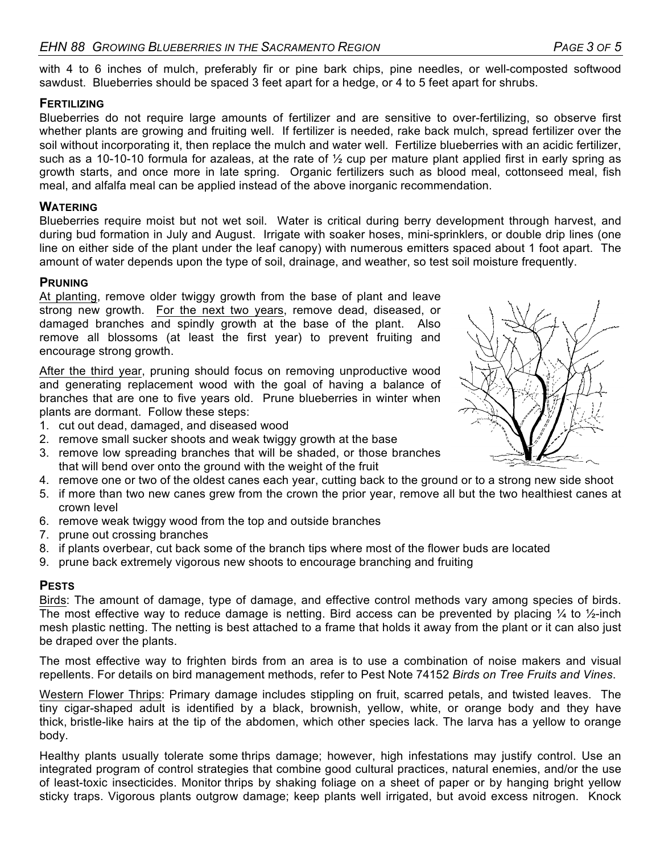with 4 to 6 inches of mulch, preferably fir or pine bark chips, pine needles, or well-composted softwood sawdust. Blueberries should be spaced 3 feet apart for a hedge, or 4 to 5 feet apart for shrubs.

#### **FERTILIZING**

Blueberries do not require large amounts of fertilizer and are sensitive to over-fertilizing, so observe first whether plants are growing and fruiting well. If fertilizer is needed, rake back mulch, spread fertilizer over the soil without incorporating it, then replace the mulch and water well. Fertilize blueberries with an acidic fertilizer, such as a 10-10-10 formula for azaleas, at the rate of ½ cup per mature plant applied first in early spring as growth starts, and once more in late spring. Organic fertilizers such as blood meal, cottonseed meal, fish meal, and alfalfa meal can be applied instead of the above inorganic recommendation.

#### **WATERING**

Blueberries require moist but not wet soil. Water is critical during berry development through harvest, and during bud formation in July and August. Irrigate with soaker hoses, mini-sprinklers, or double drip lines (one line on either side of the plant under the leaf canopy) with numerous emitters spaced about 1 foot apart. The amount of water depends upon the type of soil, drainage, and weather, so test soil moisture frequently.

#### **PRUNING**

At planting, remove older twiggy growth from the base of plant and leave strong new growth. For the next two years, remove dead, diseased, or damaged branches and spindly growth at the base of the plant. Also remove all blossoms (at least the first year) to prevent fruiting and encourage strong growth.

After the third year, pruning should focus on removing unproductive wood and generating replacement wood with the goal of having a balance of branches that are one to five years old. Prune blueberries in winter when plants are dormant. Follow these steps:

- 1. cut out dead, damaged, and diseased wood
- 2. remove small sucker shoots and weak twiggy growth at the base
- 3. remove low spreading branches that will be shaded, or those branches that will bend over onto the ground with the weight of the fruit
- 4. remove one or two of the oldest canes each year, cutting back to the ground or to a strong new side shoot
- 5. if more than two new canes grew from the crown the prior year, remove all but the two healthiest canes at crown level
- 6. remove weak twiggy wood from the top and outside branches
- 7. prune out crossing branches
- 8. if plants overbear, cut back some of the branch tips where most of the flower buds are located
- 9. prune back extremely vigorous new shoots to encourage branching and fruiting

#### **PESTS**

Birds: The amount of damage, type of damage, and effective control methods vary among species of birds. The most effective way to reduce damage is netting. Bird access can be prevented by placing  $\frac{1}{4}$  to  $\frac{1}{2}$ -inch mesh plastic netting. The netting is best attached to a frame that holds it away from the plant or it can also just be draped over the plants.

The most effective way to frighten birds from an area is to use a combination of noise makers and visual repellents. For details on bird management methods, refer to Pest Note 74152 *Birds on Tree Fruits and Vines*.

Western Flower Thrips: Primary damage includes stippling on fruit, scarred petals, and twisted leaves. The tiny cigar-shaped adult is identified by a black, brownish, yellow, white, or orange body and they have thick, bristle-like hairs at the tip of the abdomen, which other species lack. The larva has a yellow to orange body.

Healthy plants usually tolerate some thrips damage; however, high infestations may justify control. Use an integrated program of control strategies that combine good cultural practices, natural enemies, and/or the use of least-toxic insecticides. Monitor thrips by shaking foliage on a sheet of paper or by hanging bright yellow sticky traps. Vigorous plants outgrow damage; keep plants well irrigated, but avoid excess nitrogen. Knock

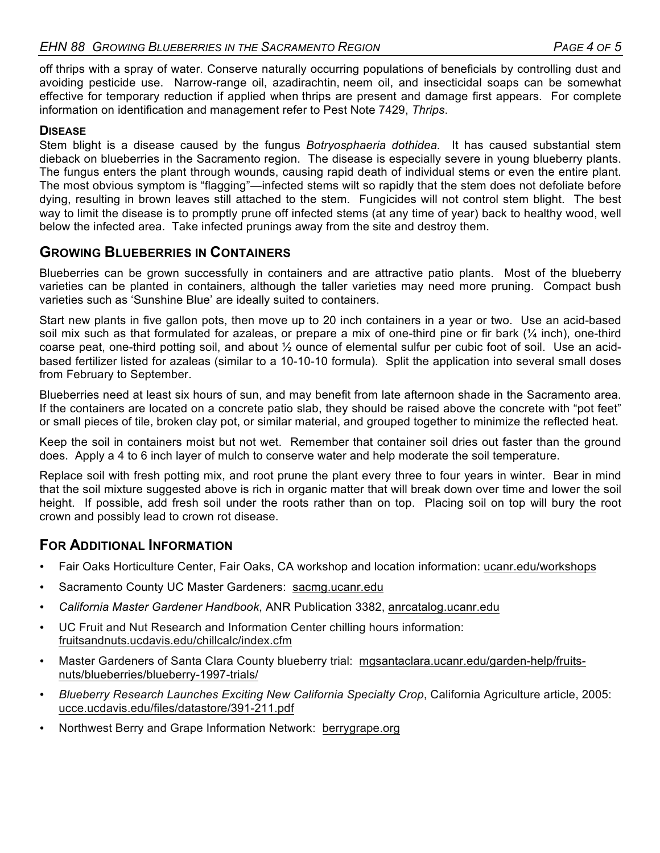off thrips with a spray of water. Conserve naturally occurring populations of beneficials by controlling dust and avoiding pesticide use. Narrow-range oil, azadirachtin, neem oil, and insecticidal soaps can be somewhat effective for temporary reduction if applied when thrips are present and damage first appears. For complete information on identification and management refer to Pest Note 7429, *Thrips*.

### **DISEASE**

Stem blight is a disease caused by the fungus *Botryosphaeria dothidea.* It has caused substantial stem dieback on blueberries in the Sacramento region. The disease is especially severe in young blueberry plants. The fungus enters the plant through wounds, causing rapid death of individual stems or even the entire plant. The most obvious symptom is "flagging"—infected stems wilt so rapidly that the stem does not defoliate before dying, resulting in brown leaves still attached to the stem. Fungicides will not control stem blight. The best way to limit the disease is to promptly prune off infected stems (at any time of year) back to healthy wood, well below the infected area. Take infected prunings away from the site and destroy them.

# **GROWING BLUEBERRIES IN CONTAINERS**

Blueberries can be grown successfully in containers and are attractive patio plants. Most of the blueberry varieties can be planted in containers, although the taller varieties may need more pruning. Compact bush varieties such as 'Sunshine Blue' are ideally suited to containers.

Start new plants in five gallon pots, then move up to 20 inch containers in a year or two. Use an acid-based soil mix such as that formulated for azaleas, or prepare a mix of one-third pine or fir bark  $(\frac{1}{4}$  inch), one-third coarse peat, one-third potting soil, and about ½ ounce of elemental sulfur per cubic foot of soil. Use an acidbased fertilizer listed for azaleas (similar to a 10-10-10 formula). Split the application into several small doses from February to September.

Blueberries need at least six hours of sun, and may benefit from late afternoon shade in the Sacramento area. If the containers are located on a concrete patio slab, they should be raised above the concrete with "pot feet" or small pieces of tile, broken clay pot, or similar material, and grouped together to minimize the reflected heat.

Keep the soil in containers moist but not wet. Remember that container soil dries out faster than the ground does. Apply a 4 to 6 inch layer of mulch to conserve water and help moderate the soil temperature.

Replace soil with fresh potting mix, and root prune the plant every three to four years in winter. Bear in mind that the soil mixture suggested above is rich in organic matter that will break down over time and lower the soil height. If possible, add fresh soil under the roots rather than on top. Placing soil on top will bury the root crown and possibly lead to crown rot disease.

## **FOR ADDITIONAL INFORMATION**

- Fair Oaks Horticulture Center, Fair Oaks, CA workshop and location information: ucanr.edu/workshops
- Sacramento County UC Master Gardeners: sacmg.ucanr.edu
- *California Master Gardener Handbook*, ANR Publication 3382, anrcatalog.ucanr.edu
- UC Fruit and Nut Research and Information Center chilling hours information: fruitsandnuts.ucdavis.edu/chillcalc/index.cfm
- Master Gardeners of Santa Clara County blueberry trial: mgsantaclara.ucanr.edu/garden-help/fruitsnuts/blueberries/blueberry-1997-trials/
- *Blueberry Research Launches Exciting New California Specialty Crop*, California Agriculture article, 2005: ucce.ucdavis.edu/files/datastore/391-211.pdf
- Northwest Berry and Grape Information Network: berrygrape.org